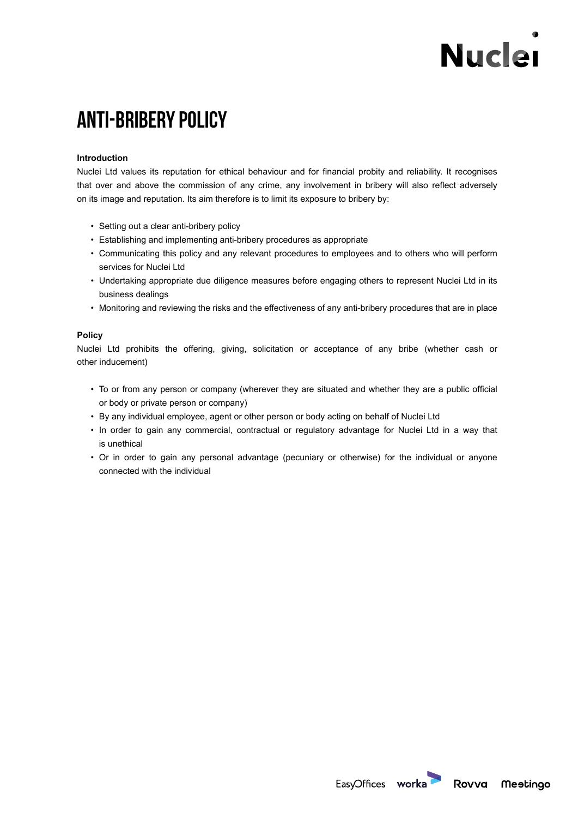# **Nuclei**

## **Anti-bribery policy**

#### **Introduction**

Nuclei Ltd values its reputation for ethical behaviour and for financial probity and reliability. It recognises that over and above the commission of any crime, any involvement in bribery will also reflect adversely on its image and reputation. Its aim therefore is to limit its exposure to bribery by:

- Setting out a clear anti-bribery policy
- Establishing and implementing anti-bribery procedures as appropriate
- Communicating this policy and any relevant procedures to employees and to others who will perform services for Nuclei Ltd
- Undertaking appropriate due diligence measures before engaging others to represent Nuclei Ltd in its business dealings
- Monitoring and reviewing the risks and the effectiveness of any anti-bribery procedures that are in place

### **Policy**

Nuclei Ltd prohibits the offering, giving, solicitation or acceptance of any bribe (whether cash or other inducement)

- To or from any person or company (wherever they are situated and whether they are a public official or body or private person or company)
- By any individual employee, agent or other person or body acting on behalf of Nuclei Ltd
- In order to gain any commercial, contractual or regulatory advantage for Nuclei Ltd in a way that is unethical
- Or in order to gain any personal advantage (pecuniary or otherwise) for the individual or anyone connected with the individual